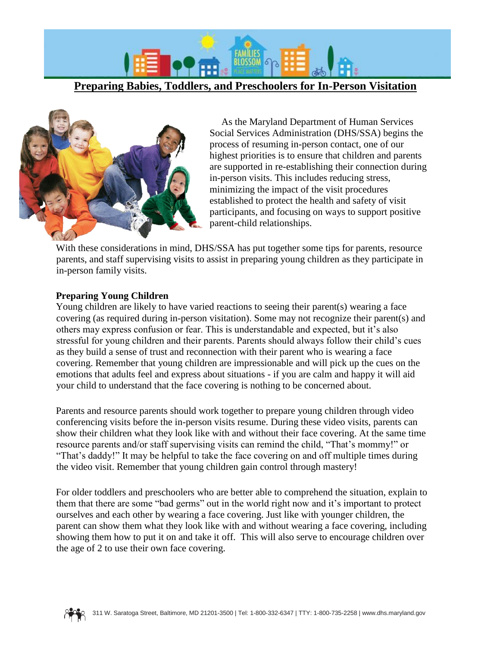

**Preparing Babies, Toddlers, and Preschoolers for In-Person Visitation**



As the Maryland Department of Human Services Social Services Administration (DHS/SSA) begins the process of resuming in-person contact, one of our highest priorities is to ensure that children and parents are supported in re-establishing their connection during in-person visits. This includes reducing stress, minimizing the impact of the visit procedures established to protect the health and safety of visit participants, and focusing on ways to support positive parent-child relationships.

With these considerations in mind, DHS/SSA has put together some tips for parents, resource parents, and staff supervising visits to assist in preparing young children as they participate in in-person family visits.

### **Preparing Young Children**

Young children are likely to have varied reactions to seeing their parent(s) wearing a face covering (as required during in-person visitation). Some may not recognize their parent(s) and others may express confusion or fear. This is understandable and expected, but it's also stressful for young children and their parents. Parents should always follow their child's cues as they build a sense of trust and reconnection with their parent who is wearing a face covering. Remember that young children are impressionable and will pick up the cues on the emotions that adults feel and express about situations - if you are calm and happy it will aid your child to understand that the face covering is nothing to be concerned about.

Parents and resource parents should work together to prepare young children through video conferencing visits before the in-person visits resume. During these video visits, parents can show their children what they look like with and without their face covering. At the same time resource parents and/or staff supervising visits can remind the child, "That's mommy!" or "That's daddy!" It may be helpful to take the face covering on and off multiple times during the video visit. Remember that young children gain control through mastery!

For older toddlers and preschoolers who are better able to comprehend the situation, explain to them that there are some "bad germs" out in the world right now and it's important to protect ourselves and each other by wearing a face covering. Just like with younger children, the parent can show them what they look like with and without wearing a face covering, including showing them how to put it on and take it off. This will also serve to encourage children over the age of 2 to use their own face covering.